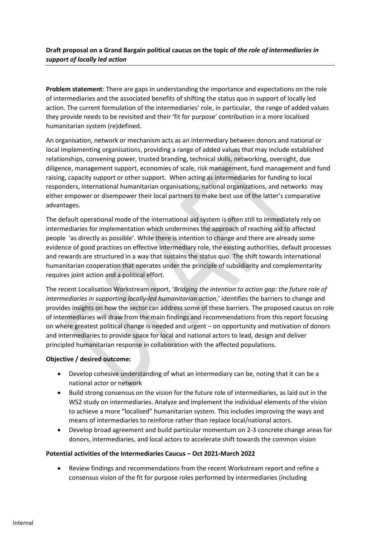## **Draft proposal on a Grand Bargain political caucus on the topic of** *the role of intermediaries in support of locally led action*

**Problem statement**: There are gaps in understanding the importance and expectations on the role of intermediaries and the associated benefits of shifting the status quo in support of locally led action. The current formulation of the intermediaries' role, in particular, the range of added values they provide needs to be revisited and their 'fit for purpose' contribution in a more localised humanitarian system (re)defined.

An organisation, network or mechanism acts as an intermediary between donors and national or local implementing organisations, providing a range of added values that may include established relationships, convening power, trusted branding, technical skills, networking, oversight, due diligence, management support, economies of scale, risk management, fund management and fund raising, capacity support or other support. When acting as intermediaries for funding to local responders, international humanitarian organisations, national organizations, and networks may either empower or disempower their local partners to make best use of the latter's comparative advantages.

The default operational mode of the international aid system is often still to immediately rely on intermediaries for implementation which undermines the approach of reaching aid to affected people 'as directly as possible'. While there is intention to change and there are already some evidence of good practices on effective intermediary role, the existing authorities, default processes and rewards are structured in a way that sustains the status quo. The shift towards international humanitarian cooperation that operates under the principle of subsidiarity and complementarity requires joint action and a political effort.

The recent Localisation Workstream report, '*Bridging the intention to action gap: the future role of intermediaries in supporting locally-led humanitarian action*,' identifies the barriers to change and provides insights on how the sector can address some of these barriers. The proposed caucus on role of intermediaries will draw from the main findings and recommendations from this report focusing on where greatest political change is needed and urgent – on opportunity and motivation of donors and intermediaries to provide space for local and national actors to lead, design and deliver principled humanitarian response in collaboration with the affected populations.

## **Objective / desired outcome:**

- Develop cohesive understanding of what an intermediary can be, noting that it can be a national actor or network
- Build strong consensus on the vision for the future role of intermediaries, as laid out in the WS2 study on intermediaries. Analyze and implement the individual elements of the vision to achieve a more "localised" humanitarian system. This includes improving the ways and means of intermediaries to reinforce rather than replace local/national actors.
- Develop broad agreement and build particular momentum on 2-3 concrete change areas for donors, intermediaries, and local actors to accelerate shift towards the common vision

## **Potential activities of the Intermediaries Caucus – Oct 2021-March 2022**

• Review findings and recommendations from the recent Workstream report and refine a consensus vision of the fit for purpose roles performed by intermediaries (including